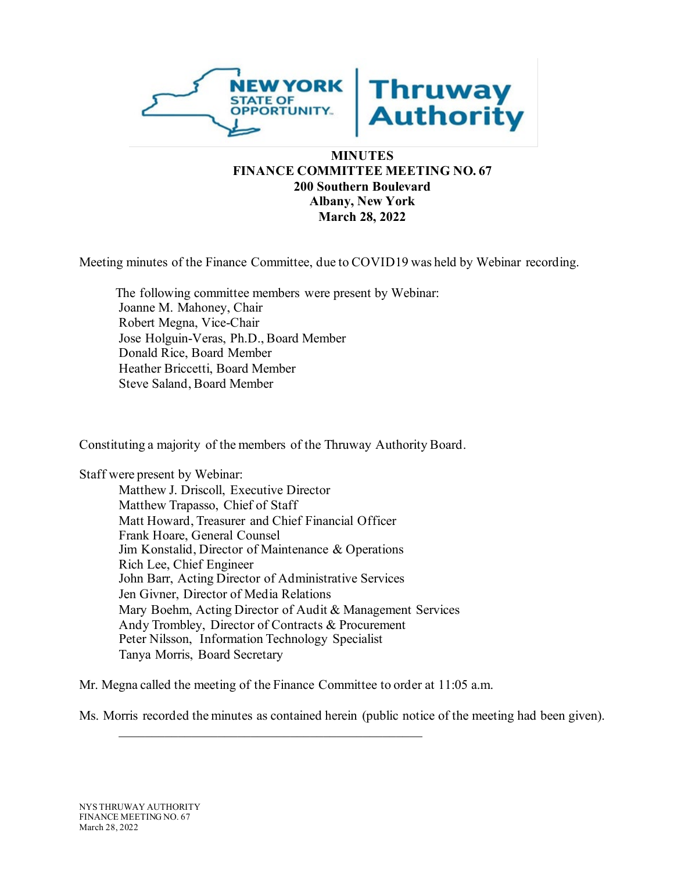

# **MINUTES FINANCE COMMITTEE MEETING NO. 67 200 Southern Boulevard Albany, New York March 28, 2022**

Meeting minutes of the Finance Committee, due to COVID19 was held by Webinar recording.

The following committee members were present by Webinar: Joanne M. Mahoney, Chair Robert Megna, Vice-Chair Jose Holguin-Veras, Ph.D., Board Member Donald Rice, Board Member Heather Briccetti, Board Member Steve Saland, Board Member

Constituting a majority of the members of the Thruway Authority Board.

Staff were present by Webinar:

Matthew J. Driscoll, Executive Director Matthew Trapasso, Chief of Staff Matt Howard, Treasurer and Chief Financial Officer Frank Hoare, General Counsel Jim Konstalid, Director of Maintenance & Operations Rich Lee, Chief Engineer John Barr, Acting Director of Administrative Services Jen Givner, Director of Media Relations Mary Boehm, Acting Director of Audit & Management Services Andy Trombley, Director of Contracts & Procurement Peter Nilsson, Information Technology Specialist Tanya Morris, Board Secretary

Mr. Megna called the meeting of the Finance Committee to order at 11:05 a.m.

\_\_\_\_\_\_\_\_\_\_\_\_\_\_\_\_\_\_\_\_\_\_\_\_\_\_\_\_\_\_\_\_\_\_\_\_\_\_\_\_\_\_\_\_\_\_

Ms. Morris recorded the minutes as contained herein (public notice of the meeting had been given).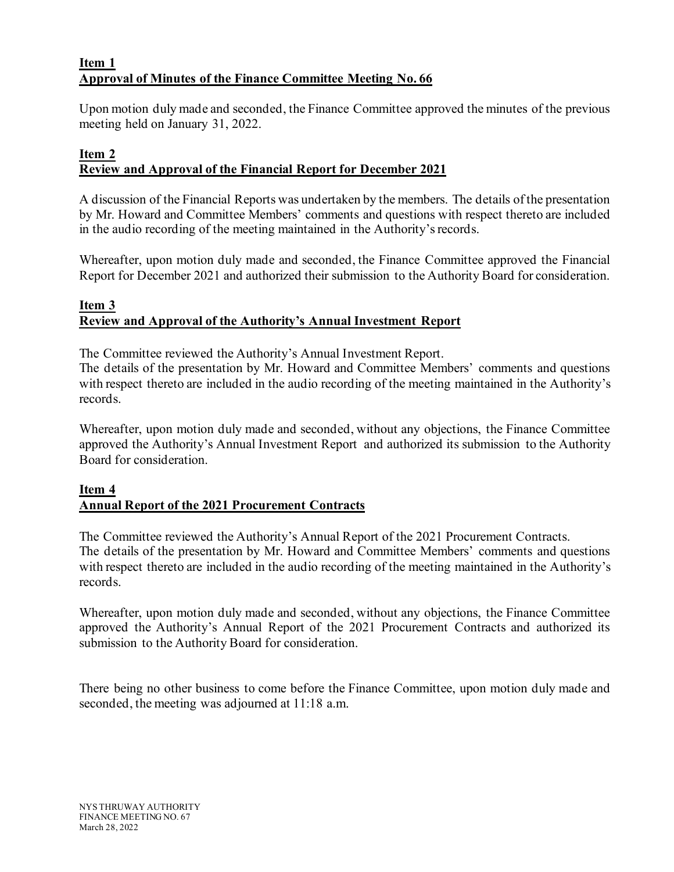## **Item 1 Approval of Minutes of the Finance Committee Meeting No. 66**

Upon motion duly made and seconded, the Finance Committee approved the minutes of the previous meeting held on January 31, 2022.

# **Item 2 Review and Approval of the Financial Report for December 2021**

A discussion of the Financial Reports was undertaken by the members. The details of the presentation by Mr. Howard and Committee Members' comments and questions with respect thereto are included in the audio recording of the meeting maintained in the Authority's records.

Whereafter, upon motion duly made and seconded, the Finance Committee approved the Financial Report for December 2021 and authorized their submission to the Authority Board for consideration.

# **Item 3 Review and Approval of the Authority's Annual Investment Report**

The Committee reviewed the Authority's Annual Investment Report.

The details of the presentation by Mr. Howard and Committee Members' comments and questions with respect thereto are included in the audio recording of the meeting maintained in the Authority's records.

Whereafter, upon motion duly made and seconded, without any objections, the Finance Committee approved the Authority's Annual Investment Report and authorized its submission to the Authority Board for consideration.

# **Item 4 Annual Report of the 2021 Procurement Contracts**

The Committee reviewed the Authority's Annual Report of the 2021 Procurement Contracts. The details of the presentation by Mr. Howard and Committee Members' comments and questions with respect thereto are included in the audio recording of the meeting maintained in the Authority's records.

Whereafter, upon motion duly made and seconded, without any objections, the Finance Committee approved the Authority's Annual Report of the 2021 Procurement Contracts and authorized its submission to the Authority Board for consideration.

There being no other business to come before the Finance Committee, upon motion duly made and seconded, the meeting was adjourned at 11:18 a.m.